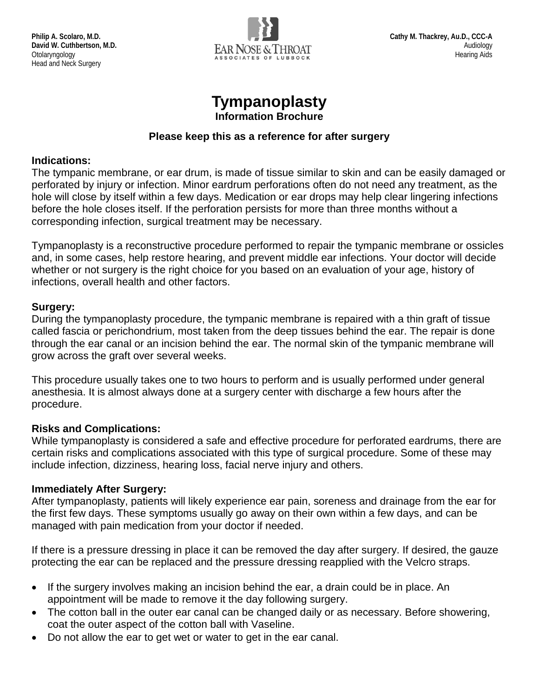

# **Tympanoplasty**

**Information Brochure**

#### **Please keep this as a reference for after surgery**

#### **Indications:**

The tympanic membrane, or ear drum, is made of tissue similar to skin and can be easily damaged or perforated by injury or infection. Minor eardrum perforations often do not need any treatment, as the hole will close by itself within a few days. Medication or ear drops may help clear lingering infections before the hole closes itself. If the perforation persists for more than three months without a corresponding infection, surgical treatment may be necessary.

Tympanoplasty is a reconstructive procedure performed to repair the tympanic membrane or ossicles and, in some cases, help restore hearing, and prevent middle ear infections. Your doctor will decide whether or not surgery is the right choice for you based on an evaluation of your age, history of infections, overall health and other factors.

# **Surgery:**

During the tympanoplasty procedure, the tympanic membrane is repaired with a thin graft of tissue called fascia or perichondrium, most taken from the deep tissues behind the ear. The repair is done through the ear canal or an incision behind the ear. The normal skin of the tympanic membrane will grow across the graft over several weeks.

This procedure usually takes one to two hours to perform and is usually performed under general anesthesia. It is almost always done at a surgery center with discharge a few hours after the procedure.

# **Risks and Complications:**

While tympanoplasty is considered a safe and effective procedure for perforated eardrums, there are certain risks and complications associated with this type of surgical procedure. Some of these may include infection, dizziness, hearing loss, facial nerve injury and others.

# **Immediately After Surgery:**

After tympanoplasty, patients will likely experience ear pain, soreness and drainage from the ear for the first few days. These symptoms usually go away on their own within a few days, and can be managed with pain medication from your doctor if needed.

If there is a pressure dressing in place it can be removed the day after surgery. If desired, the gauze protecting the ear can be replaced and the pressure dressing reapplied with the Velcro straps.

- If the surgery involves making an incision behind the ear, a drain could be in place. An appointment will be made to remove it the day following surgery.
- The cotton ball in the outer ear canal can be changed daily or as necessary. Before showering, coat the outer aspect of the cotton ball with Vaseline.
- Do not allow the ear to get wet or water to get in the ear canal.